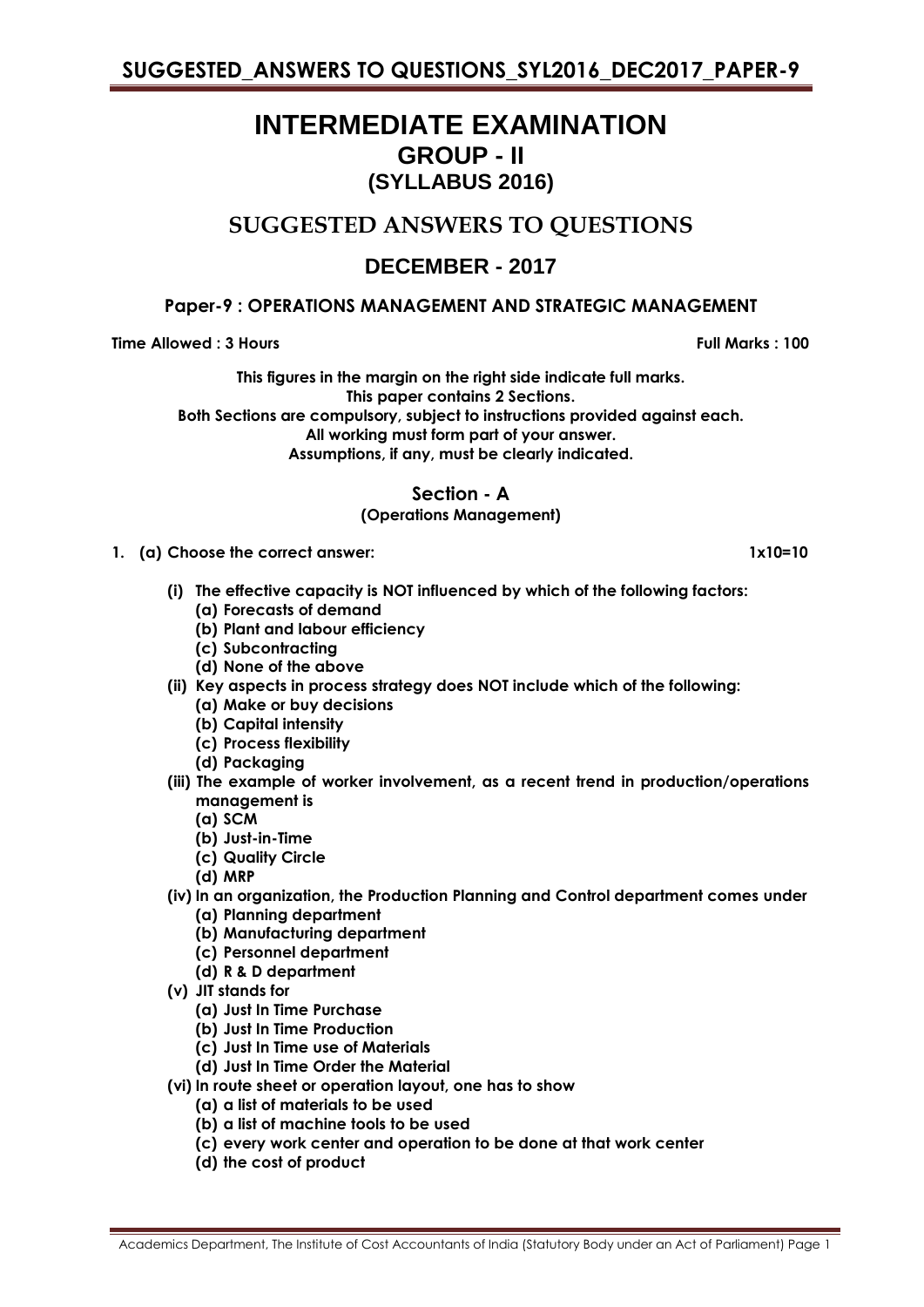# **INTERMEDIATE EXAMINATION GROUP - II (SYLLABUS 2016)**

## **SUGGESTED ANSWERS TO QUESTIONS**

## **DECEMBER - 2017**

### **Paper-9 : OPERATIONS MANAGEMENT AND STRATEGIC MANAGEMENT**

**Time Allowed : 3 Hours Full Marks : 100** 

**This figures in the margin on the right side indicate full marks. This paper contains 2 Sections. Both Sections are compulsory, subject to instructions provided against each. All working must form part of your answer. Assumptions, if any, must be clearly indicated.**

**Section - A**

### **(Operations Management)**

- **1. (a) Choose the correct answer: 1x10=10**
	- **(i) The effective capacity is NOT influenced by which of the following factors:**
		- **(a) Forecasts of demand**
		- **(b) Plant and labour efficiency**
		- **(c) Subcontracting**
		- **(d) None of the above**
	- **(ii) Key aspects in process strategy does NOT include which of the following:**
		- **(a) Make or buy decisions**
		- **(b) Capital intensity**
		- **(c) Process flexibility**
		- **(d) Packaging**
	- **(iii) The example of worker involvement, as a recent trend in production/operations management is**
		- **(a) SCM**
		- **(b) Just-in-Time**
		- **(c) Quality Circle**
		- **(d) MRP**
	- **(iv) In an organization, the Production Planning and Control department comes under (a) Planning department**
		- **(b) Manufacturing department**
		- **(c) Personnel department**
		- **(d) R & D department**
	- **(v) JIT stands for**
		- **(a) Just In Time Purchase**
		- **(b) Just In Time Production**
		- **(c) Just In Time use of Materials**
		- **(d) Just In Time Order the Material**
	- **(vi) In route sheet or operation layout, one has to show**
		- **(a) a list of materials to be used**
		- **(b) a list of machine tools to be used**
		- **(c) every work center and operation to be done at that work center**
		- **(d) the cost of product**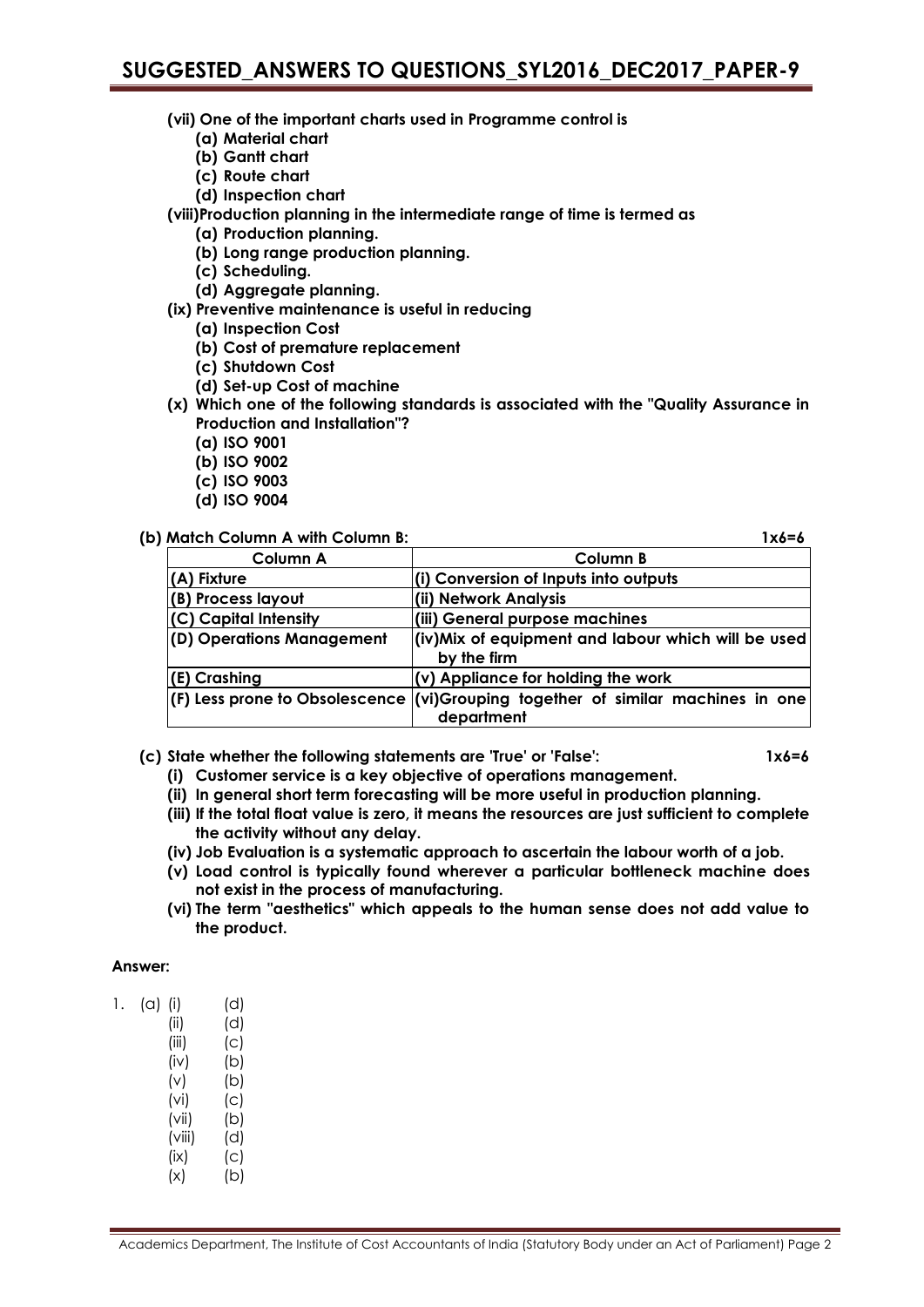- **(vii) One of the important charts used in Programme control is**
	- **(a) Material chart**
	- **(b) Gantt chart**
	- **(c) Route chart**
	- **(d) Inspection chart**
- **(viii)Production planning in the intermediate range of time is termed as**
	- **(a) Production planning.**
		- **(b) Long range production planning.**
		- **(c) Scheduling.**
		- **(d) Aggregate planning.**
- **(ix) Preventive maintenance is useful in reducing**
	- **(a) Inspection Cost**
	- **(b) Cost of premature replacement**
	- **(c) Shutdown Cost**
	- **(d) Set-up Cost of machine**
- **(x) Which one of the following standards is associated with the "Quality Assurance in Production and Installation"?**
	- **(a) ISO 9001**
	- **(b) ISO 9002**
	- **(c) ISO 9003**
	- **(d) ISO 9004**

#### **(b) Match Column A with Column B: 1x6=6**

**Column A Column B (A) Fixture (i) Conversion of Inputs into outputs (B) Process layout (ii) Network Analysis (C) Capital Intensity (iii) General purpose machines (D) Operations Management (iv)Mix of equipment and labour which will be used by the firm (E) Crashing (v) Appliance for holding the work (F) Less prone to Obsolescence (vi)Grouping together of similar machines in one department**

**(c) State whether the following statements are 'True' or 'False': 1x6=6**

- **(i) Customer service is a key objective of operations management.**
- **(ii) In general short term forecasting will be more useful in production planning.**
- **(iii) If the total float value is zero, it means the resources are just sufficient to complete the activity without any delay.**
- **(iv) Job Evaluation is a systematic approach to ascertain the labour worth of a job.**
- **(v) Load control is typically found wherever a particular bottleneck machine does not exist in the process of manufacturing.**
- **(vi) The term "aesthetics" which appeals to the human sense does not add value to the product.**

#### **Answer:**

| (a) | (i)    | (d) |
|-----|--------|-----|
|     | (ii)   | (d) |
|     | (iii)  | (c) |
|     | (iv)   | (b) |
|     | (v)    | (b) |
|     | (vi)   | (c) |
|     | (vii)  | (b) |
|     | (viii) | (d) |
|     | (ix)   | (c) |
|     | (x)    | (b) |
|     |        |     |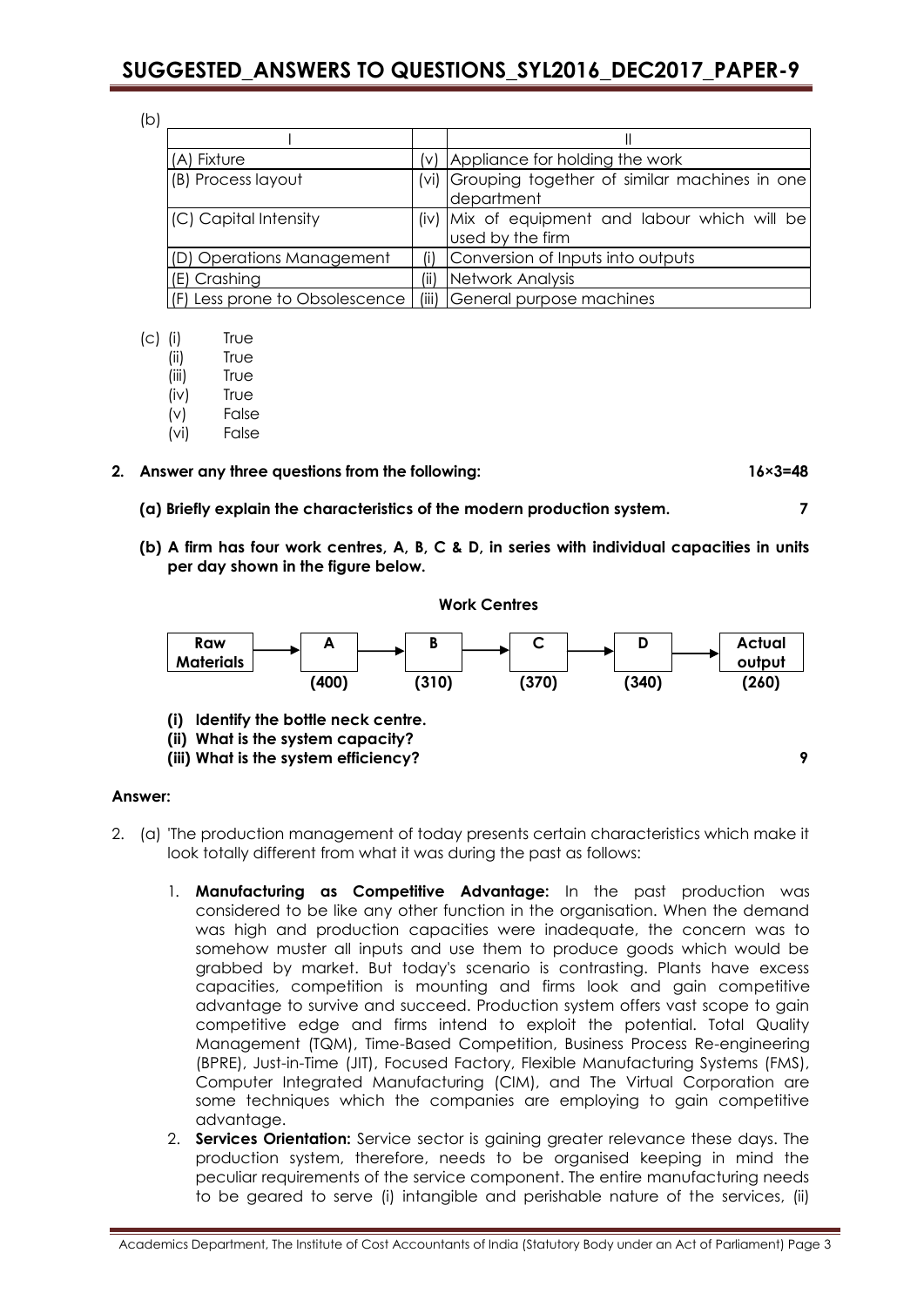(b)

| (A) Fixture                    |       | $(v)$ Appliance for holding the work                               |
|--------------------------------|-------|--------------------------------------------------------------------|
| (B) Process layout             | (vi)  | Grouping together of similar machines in one<br>department         |
| (C) Capital Intensity          |       | (iv) Mix of equipment and labour which will be<br>used by the firm |
| (D) Operations Management      | (i)   | Conversion of Inputs into outputs                                  |
| (E) Crashing                   | (ii)  | Network Analysis                                                   |
| (F) Less prone to Obsolescence | (iii) | General purpose machines                                           |

- (c) (i) True
	- (ii) True
	- (iii) True
	- (iv) True
	- (v) False
	- (vi) False

#### **2. Answer any three questions from the following: 16×3=48**

- **(a) Briefly explain the characteristics of the modern production system. 7**
- **(b) A firm has four work centres, A, B, C & D, in series with individual capacities in units per day shown in the figure below.**

**Work Centres**



**(iii) What is the system efficiency? 9**

#### **Answer:**

- 2. (a) 'The production management of today presents certain characteristics which make it look totally different from what it was during the past as follows:
	- 1. **Manufacturing as Competitive Advantage:** In the past production was considered to be like any other function in the organisation. When the demand was high and production capacities were inadequate, the concern was to somehow muster all inputs and use them to produce goods which would be grabbed by market. But today's scenario is contrasting. Plants have excess capacities, competition is mounting and firms look and gain competitive advantage to survive and succeed. Production system offers vast scope to gain competitive edge and firms intend to exploit the potential. Total Quality Management (TQM), Time-Based Competition, Business Process Re-engineering (BPRE), Just-in-Time (JIT), Focused Factory, Flexible Manufacturing Systems (FMS), Computer Integrated Manufacturing (CIM), and The Virtual Corporation are some techniques which the companies are employing to gain competitive advantage.
	- 2. **Services Orientation:** Service sector is gaining greater relevance these days. The production system, therefore, needs to be organised keeping in mind the peculiar requirements of the service component. The entire manufacturing needs to be geared to serve (i) intangible and perishable nature of the services, (ii)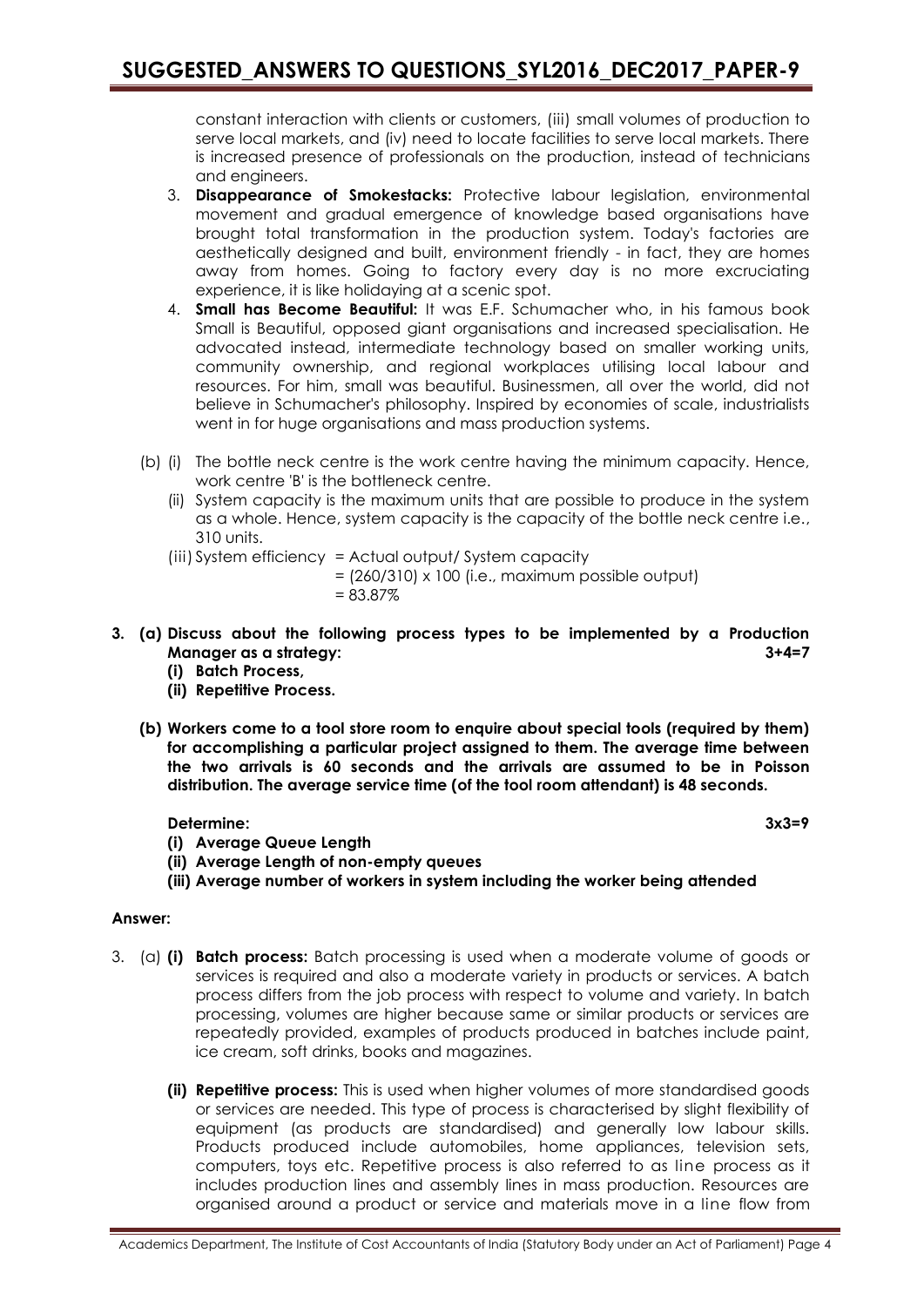constant interaction with clients or customers, (iii) small volumes of production to serve local markets, and (iv) need to locate facilities to serve local markets. There is increased presence of professionals on the production, instead of technicians and engineers.

- 3. **Disappearance of Smokestacks:** Protective labour legislation, environmental movement and gradual emergence of knowledge based organisations have brought total transformation in the production system. Today's factories are aesthetically designed and built, environment friendly - in fact, they are homes away from homes. Going to factory every day is no more excruciating experience, it is like holidaying at a scenic spot.
- 4. **Small has Become Beautiful:** It was E.F. Schumacher who, in his famous book Small is Beautiful, opposed giant organisations and increased specialisation. He advocated instead, intermediate technology based on smaller working units, community ownership, and regional workplaces utilising local labour and resources. For him, small was beautiful. Businessmen, all over the world, did not believe in Schumacher's philosophy. Inspired by economies of scale, industrialists went in for huge organisations and mass production systems.
- (b) (i) The bottle neck centre is the work centre having the minimum capacity. Hence, work centre 'B' is the bottleneck centre.
	- (ii) System capacity is the maximum units that are possible to produce in the system as a whole. Hence, system capacity is the capacity of the bottle neck centre i.e., 310 units.
	- (iii) System efficiency = Actual output/ System capacity

 $=$  (260/310) x 100 (i.e., maximum possible output) = 83.87%

- **3. (a) Discuss about the following process types to be implemented by a Production Manager as a strategy: 3+4=7**
	- **(i) Batch Process,**
	- **(ii) Repetitive Process.**
	- **(b) Workers come to a tool store room to enquire about special tools (required by them) for accomplishing a particular project assigned to them. The average time between the two arrivals is 60 seconds and the arrivals are assumed to be in Poisson distribution. The average service time (of the tool room attendant) is 48 seconds.**

#### **Determine: 3x3=9**

- **(i) Average Queue Length**
- **(ii) Average Length of non-empty queues**
- **(iii) Average number of workers in system including the worker being attended**

#### **Answer:**

- 3. (a) **(i) Batch process:** Batch processing is used when a moderate volume of goods or services is required and also a moderate variety in products or services. A batch process differs from the job process with respect to volume and variety. In batch processing, volumes are higher because same or similar products or services are repeatedly provided, examples of products produced in batches include paint, ice cream, soft drinks, books and magazines.
	- **(ii) Repetitive process:** This is used when higher volumes of more standardised goods or services are needed. This type of process is characterised by slight flexibility of equipment (as products are standardised) and generally low labour skills. Products produced include automobiles, home appliances, television sets, computers, toys etc. Repetitive process is also referred to as line process as it includes production lines and assembly lines in mass production. Resources are organised around a product or service and materials move in a line flow from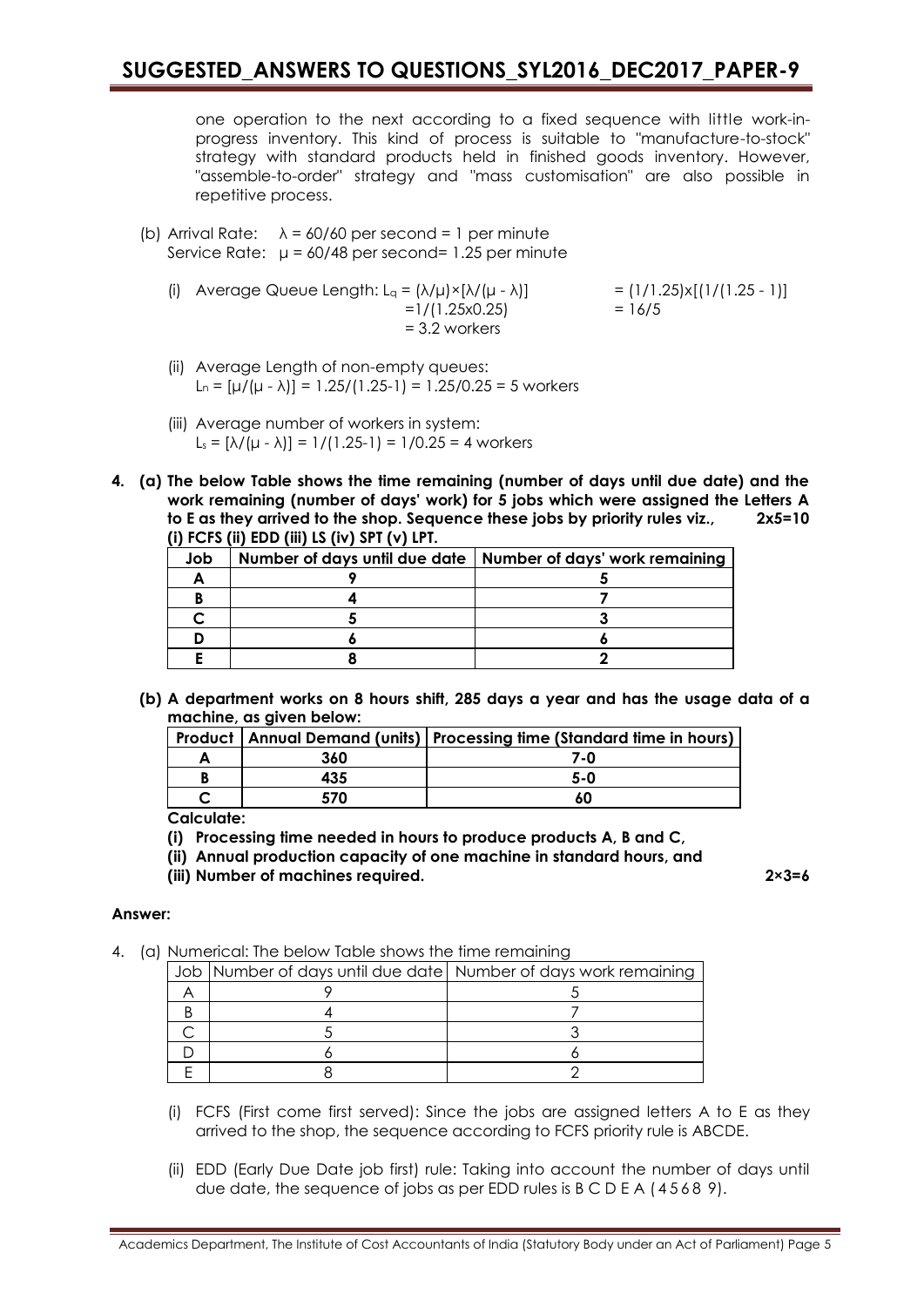one operation to the next according to a fixed sequence with little work-inprogress inventory. This kind of process is suitable to "manufacture-to-stock" strategy with standard products held in finished goods inventory. However, "assemble-to-order" strategy and "mass customisation" are also possible in repetitive process.

- (b) Arrival Rate:  $\lambda = 60/60$  per second = 1 per minute Service Rate:  $\mu = 60/48$  per second= 1.25 per minute
	- (i) Average Queue Length:  $L_q = (\lambda/\mu) \times [\lambda/(\mu \lambda)]$  = (1/1.25)x[(1/(1.25 1)]  $=1/(1.25 \times 0.25)$  = 16/5 = 3.2 workers
	- (ii) Average Length of non-empty queues: L<sub>n</sub> = [ $\mu/(\mu - \lambda)$ ] = 1.25/(1.25-1) = 1.25/0.25 = 5 workers
	- (iii) Average number of workers in system: L<sub>s</sub> =  $[\lambda/(\mu - \lambda)] = 1/(1.25-1) = 1/0.25 = 4$  workers
- **4. (a) The below Table shows the time remaining (number of days until due date) and the work remaining (number of days' work) for 5 jobs which were assigned the Letters A to E as they arrived to the shop. Sequence these jobs by priority rules viz., 2x5=10 (i) FCFS (ii) EDD (iii) LS (iv) SPT (v) LPT.**

| Job | Number of days until due date   Number of days' work remaining |
|-----|----------------------------------------------------------------|
|     |                                                                |
|     |                                                                |
|     |                                                                |
|     |                                                                |
|     |                                                                |

**(b) A department works on 8 hours shift, 285 days a year and has the usage data of a machine, as given below:**

|     | Product   Annual Demand (units)   Processing time (Standard time in hours) |
|-----|----------------------------------------------------------------------------|
| 360 | 7-0                                                                        |
| 435 | ה-5                                                                        |
| 570 |                                                                            |

**Calculate:**

- **(i) Processing time needed in hours to produce products A, B and C,**
- **(ii) Annual production capacity of one machine in standard hours, and**
- **(iii) Number of machines required. 2×3=6**

#### **Answer:**

4. (a) Numerical: The below Table shows the time remaining

|  | Job Number of days until due date Number of days work remaining |
|--|-----------------------------------------------------------------|
|  |                                                                 |
|  |                                                                 |
|  |                                                                 |
|  |                                                                 |
|  |                                                                 |

- (i) FCFS (First come first served): Since the jobs are assigned letters A to E as they arrived to the shop, the sequence according to FCFS priority rule is ABCDE.
- (ii) EDD (Early Due Date job first) rule: Taking into account the number of days until due date, the sequence of jobs as per EDD rules is B C D E A ( 4 5 6 8 9).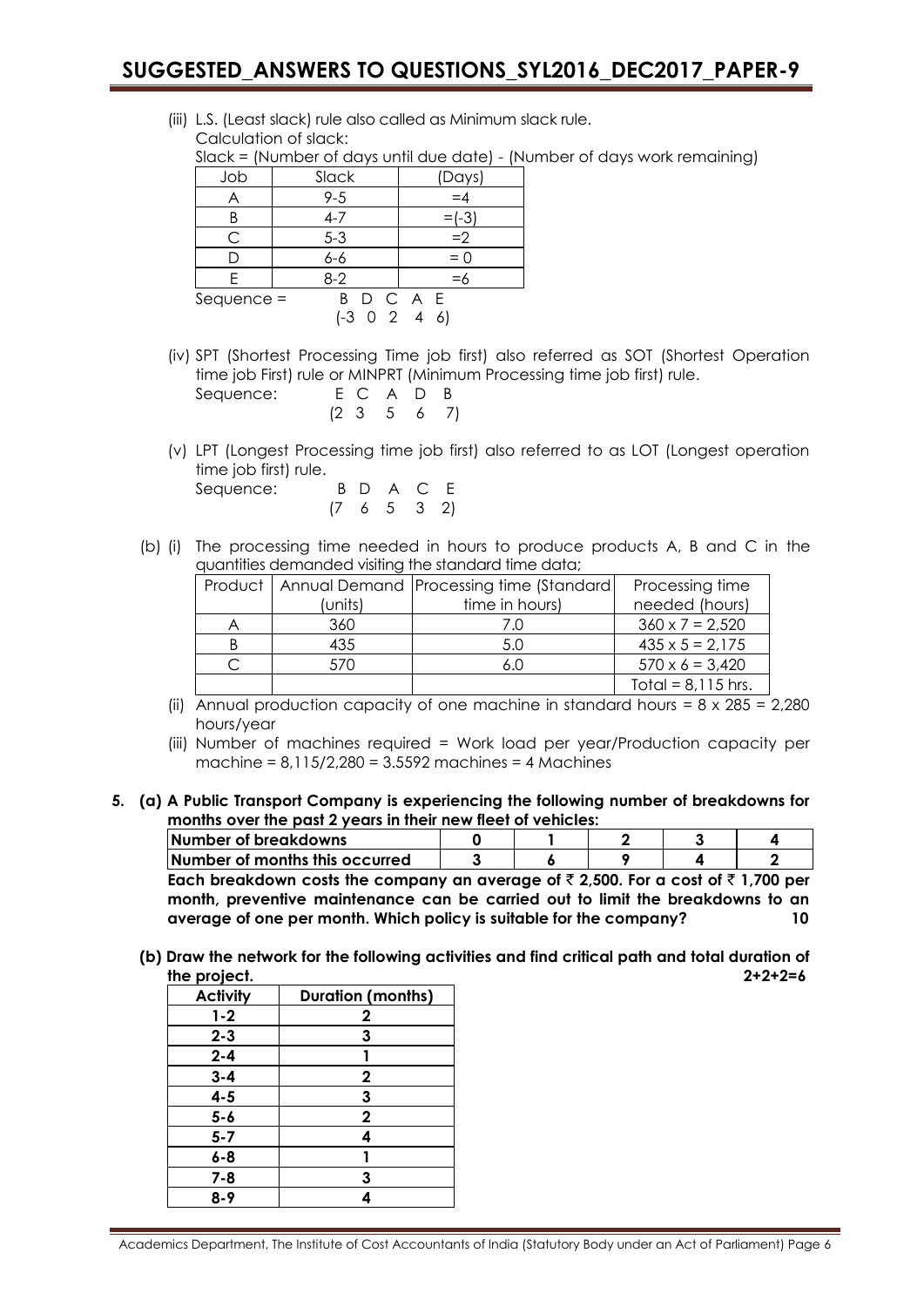(iii) L.S. (Least slack) rule also called as Minimum slack rule. Calculation of slack:

Slack = (Number of days until due date) - (Number of days work remaining)

| Job          | Slack              | (Days)        |
|--------------|--------------------|---------------|
|              | $9 - 5$            | $=4$          |
|              | $4 - 7$            | $\equiv (-3)$ |
| C            | $5 - 3$            | $=2$          |
|              | $6 - 6$            | $= 0$         |
| F            | $8 - 2$            | $=$ 6         |
| $Sequence =$ | B D C A E          |               |
|              | $(-3 \ 0 \ 2 \ 4)$ | -61           |

(iv) SPT (Shortest Processing Time job first) also referred as SOT (Shortest Operation time job First) rule or MINPRT (Minimum Processing time job first) rule. Sequence: E C A

|  | E C A D B         |  |
|--|-------------------|--|
|  | $(2\;3\;5\;6\;7)$ |  |

(v) LPT (Longest Processing time job first) also referred to as LOT (Longest operation time job first) rule.

| Sequence: |  | B D A C E             |  |
|-----------|--|-----------------------|--|
|           |  | $(7 \t6 \t5 \t3 \t2)$ |  |

(b) (i) The processing time needed in hours to produce products A, B and C in the quantities demanded visiting the standard time data;

|         | Product   Annual Demand   Processing time (Standard | Processing time        |
|---------|-----------------------------------------------------|------------------------|
| (units) | time in hours)                                      | needed (hours)         |
| 360     |                                                     | $360 \times 7 = 2,520$ |
| 435     | 5.0                                                 | $435 \times 5 = 2,175$ |
| 570     |                                                     | $570 \times 6 = 3,420$ |
|         |                                                     | Total = $8,115$ hrs.   |

- (ii) Annual production capacity of one machine in standard hours =  $8 \times 285 = 2,280$ hours/year
- (iii) Number of machines required = Work load per year/Production capacity per machine = 8,115/2,280 = 3.5592 machines = 4 Machines
- **5. (a) A Public Transport Company is experiencing the following number of breakdowns for months over the past 2 years in their new fleet of vehicles:**

| <b>Number of breakdowns</b>    |  |  |  |
|--------------------------------|--|--|--|
| Number of months this occurred |  |  |  |

Each breakdown costs the company an average of  $\bar{\tau}$  2,500. For a cost of  $\bar{\tau}$  1,700 per **month, preventive maintenance can be carried out to limit the breakdowns to an average of one per month. Which policy is suitable for the company? 10**

**(b) Draw the network for the following activities and find critical path and total duration of the project. 2+2+2=6**

| <b>Activity</b> | <b>Duration (months)</b> |
|-----------------|--------------------------|
| $1 - 2$         | $\mathbf{2}$             |
| $2 - 3$         | 3                        |
| $2 - 4$         |                          |
| $3 - 4$         | $\mathbf 2$              |
| $4 - 5$         | 3                        |
| $5 - 6$         | $\mathbf 2$              |
| $5 - 7$         | Δ                        |
| $6 - 8$         |                          |
| $7 - 8$         | 3                        |
| 8-9             |                          |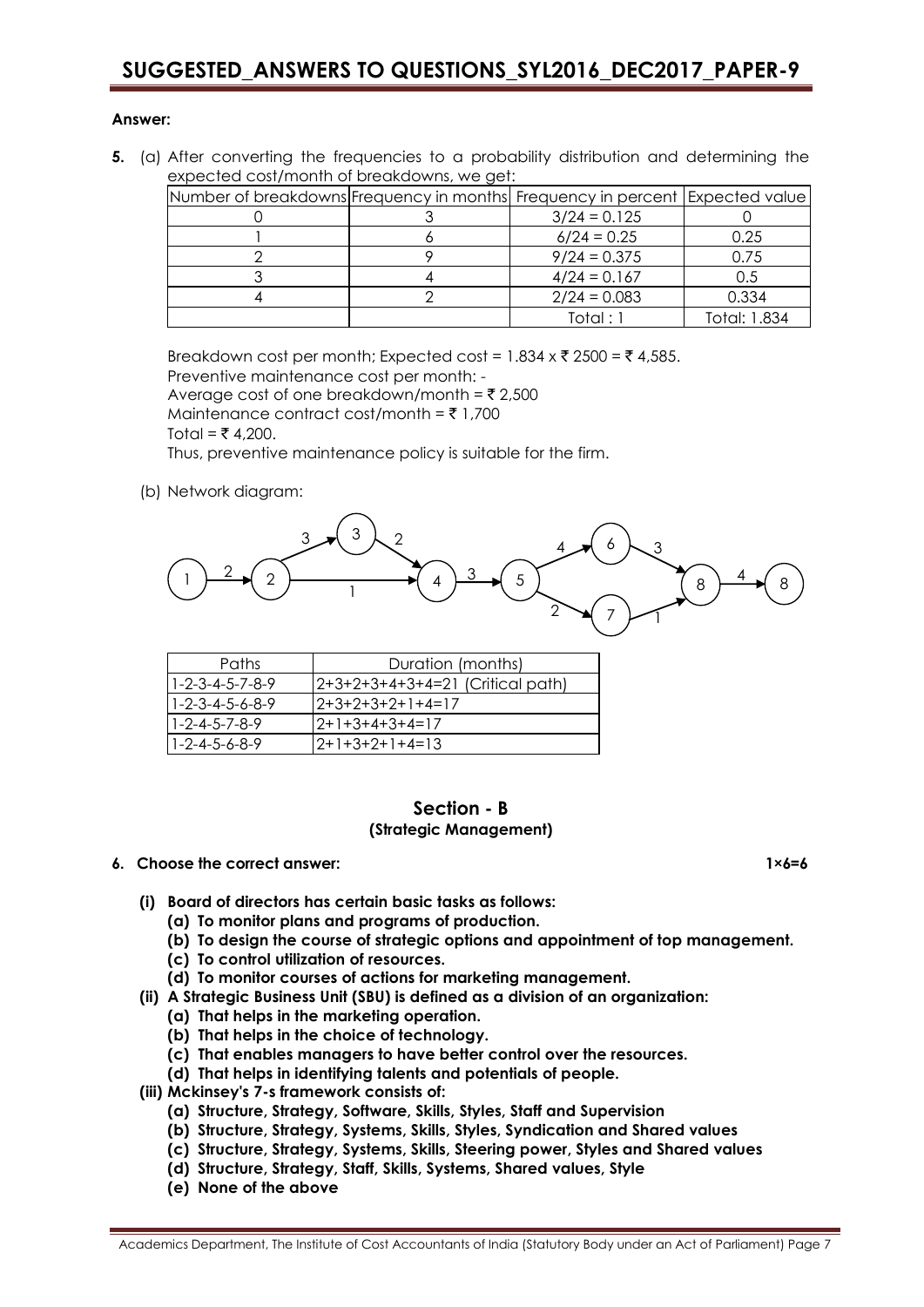#### **Answer:**

**5.** (a) After converting the frequencies to a probability distribution and determining the expected cost/month of breakdowns, we get:

| Number of breakdowns Frequency in months Frequency in percent   Expected value |                |              |
|--------------------------------------------------------------------------------|----------------|--------------|
|                                                                                | $3/24 = 0.125$ |              |
|                                                                                | $6/24 = 0.25$  | 0.25         |
|                                                                                | $9/24 = 0.375$ | 0.75         |
|                                                                                | $4/24 = 0.167$ | 0.5          |
|                                                                                | $2/24 = 0.083$ | 0.334        |
|                                                                                | Total : 1      | Total: 1.834 |

Breakdown cost per month; Expected cost =  $1.834 \times \overline{5}$  2500 =  $\overline{5}$  4,585. Preventive maintenance cost per month: - Average cost of one breakdown/month =  $\overline{\xi}$  2,500 Maintenance contract cost/month =  $\bar{z}$  1,700 Total = ₹ 4,200.

Thus, preventive maintenance policy is suitable for the firm.

(b) Network diagram:



| Paths                           | Duration (months)                |
|---------------------------------|----------------------------------|
| $1 - 2 - 3 - 4 - 5 - 7 - 8 - 9$ | 2+3+2+3+4+3+4=21 (Critical path) |
| $1 - 2 - 3 - 4 - 5 - 6 - 8 - 9$ | 2+3+2+3+2+1+4=17                 |
| $1 - 2 - 4 - 5 - 7 - 8 - 9$     | 12+1+3+4+3+4=17                  |
| $1 - 2 - 4 - 5 - 6 - 8 - 9$     | 2+1+3+2+1+4=13                   |

#### **Section - B (Strategic Management)**

#### **6. Choose the correct answer: 1×6=6**

- **(i) Board of directors has certain basic tasks as follows:**
	- **(a) To monitor plans and programs of production.**
	- **(b) To design the course of strategic options and appointment of top management.**
	- **(c) To control utilization of resources.**
	- **(d) To monitor courses of actions for marketing management.**
- **(ii) A Strategic Business Unit (SBU) is defined as a division of an organization:**
	- **(a) That helps in the marketing operation.**
	- **(b) That helps in the choice of technology.**
	- **(c) That enables managers to have better control over the resources.**
	- **(d) That helps in identifying talents and potentials of people.**
- **(iii) Mckinsey's 7-s framework consists of:**
	- **(a) Structure, Strategy, Software, Skills, Styles, Staff and Supervision**
	- **(b) Structure, Strategy, Systems, Skills, Styles, Syndication and Shared values**
	- **(c) Structure, Strategy, Systems, Skills, Steering power, Styles and Shared values**
	- **(d) Structure, Strategy, Staff, Skills, Systems, Shared values, Style**
	- **(e) None of the above**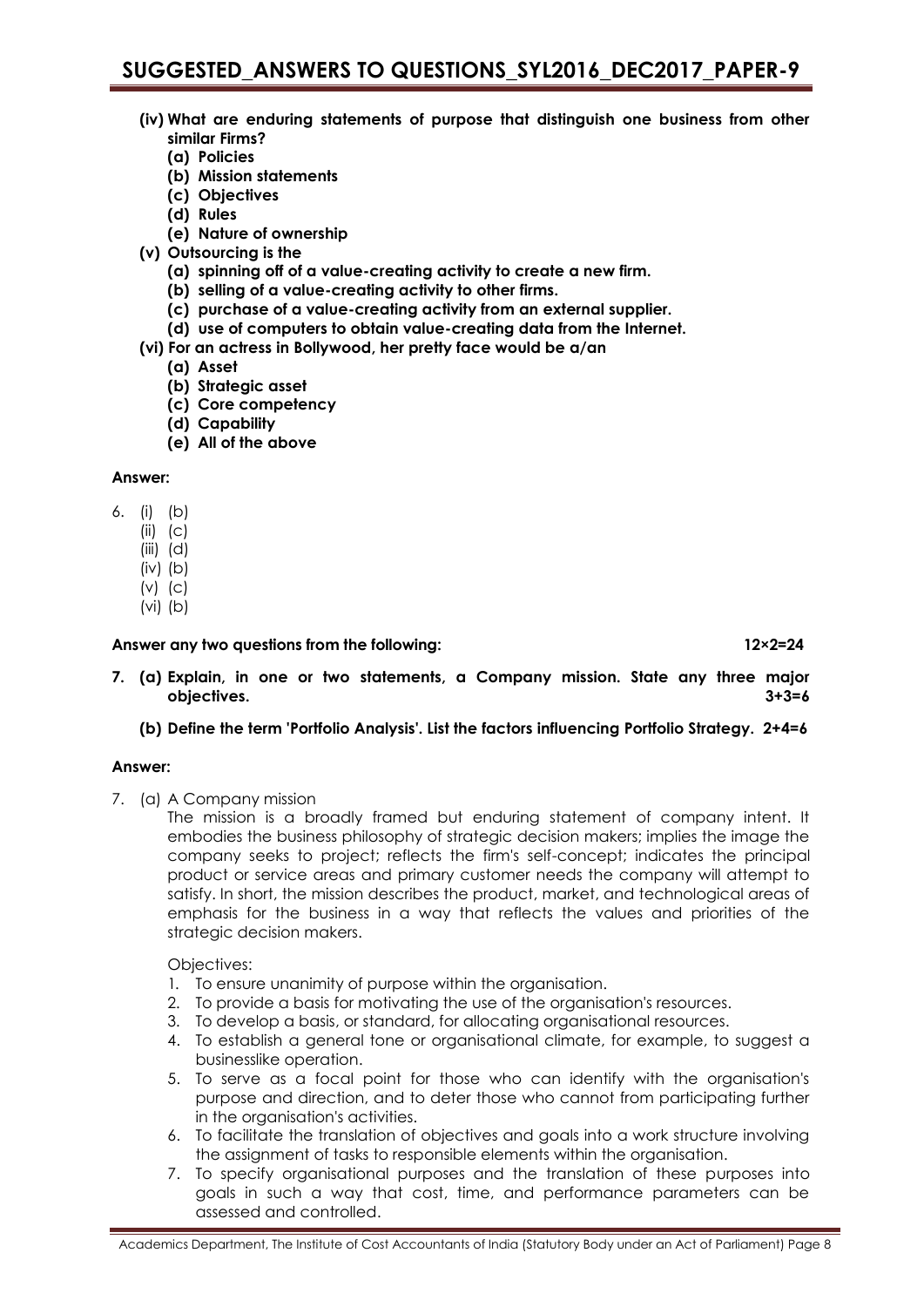- **(iv) What are enduring statements of purpose that distinguish one business from other similar Firms?**
	- **(a) Policies**
	- **(b) Mission statements**
	- **(c) Objectives**
	- **(d) Rules**
	- **(e) Nature of ownership**
- **(v) Outsourcing is the**
	- **(a) spinning off of a value-creating activity to create a new firm.**
	- **(b) selling of a value-creating activity to other firms.**
	- **(c) purchase of a value-creating activity from an external supplier.**
	- **(d) use of computers to obtain value-creating data from the Internet.**
- **(vi) For an actress in Bollywood, her pretty face would be a/an**
	- **(a) Asset**
	- **(b) Strategic asset**
	- **(c) Core competency**
	- **(d) Capability**
	- **(e) All of the above**

#### **Answer:**

- 6. (i) (b)
	- $(ii)$   $(c)$
	- (iii) (d)
	- (iv) (b)
	- $(v)$   $(c)$
	- (vi) (b)

#### **Answer any two questions from the following: 12×2=24**

- **7. (a) Explain, in one or two statements, a Company mission. State any three major objectives. 3+3=6**
	- **(b) Define the term 'Portfolio Analysis'. List the factors influencing Portfolio Strategy. 2+4=6**

#### **Answer:**

7. (a) A Company mission

The mission is a broadly framed but enduring statement of company intent. It embodies the business philosophy of strategic decision makers; implies the image the company seeks to project; reflects the firm's self-concept; indicates the principal product or service areas and primary customer needs the company will attempt to satisfy. In short, the mission describes the product, market, and technological areas of emphasis for the business in a way that reflects the values and priorities of the strategic decision makers.

### Objectives:

- 1. To ensure unanimity of purpose within the organisation.
- 2. To provide a basis for motivating the use of the organisation's resources.
- 3. To develop a basis, or standard, for allocating organisational resources.
- 4. To establish a general tone or organisational climate, for example, to suggest a businesslike operation.
- 5. To serve as a focal point for those who can identify with the organisation's purpose and direction, and to deter those who cannot from participating further in the organisation's activities.
- 6. To facilitate the translation of objectives and goals into a work structure involving the assignment of tasks to responsible elements within the organisation.
- 7. To specify organisational purposes and the translation of these purposes into goals in such a way that cost, time, and performance parameters can be assessed and controlled.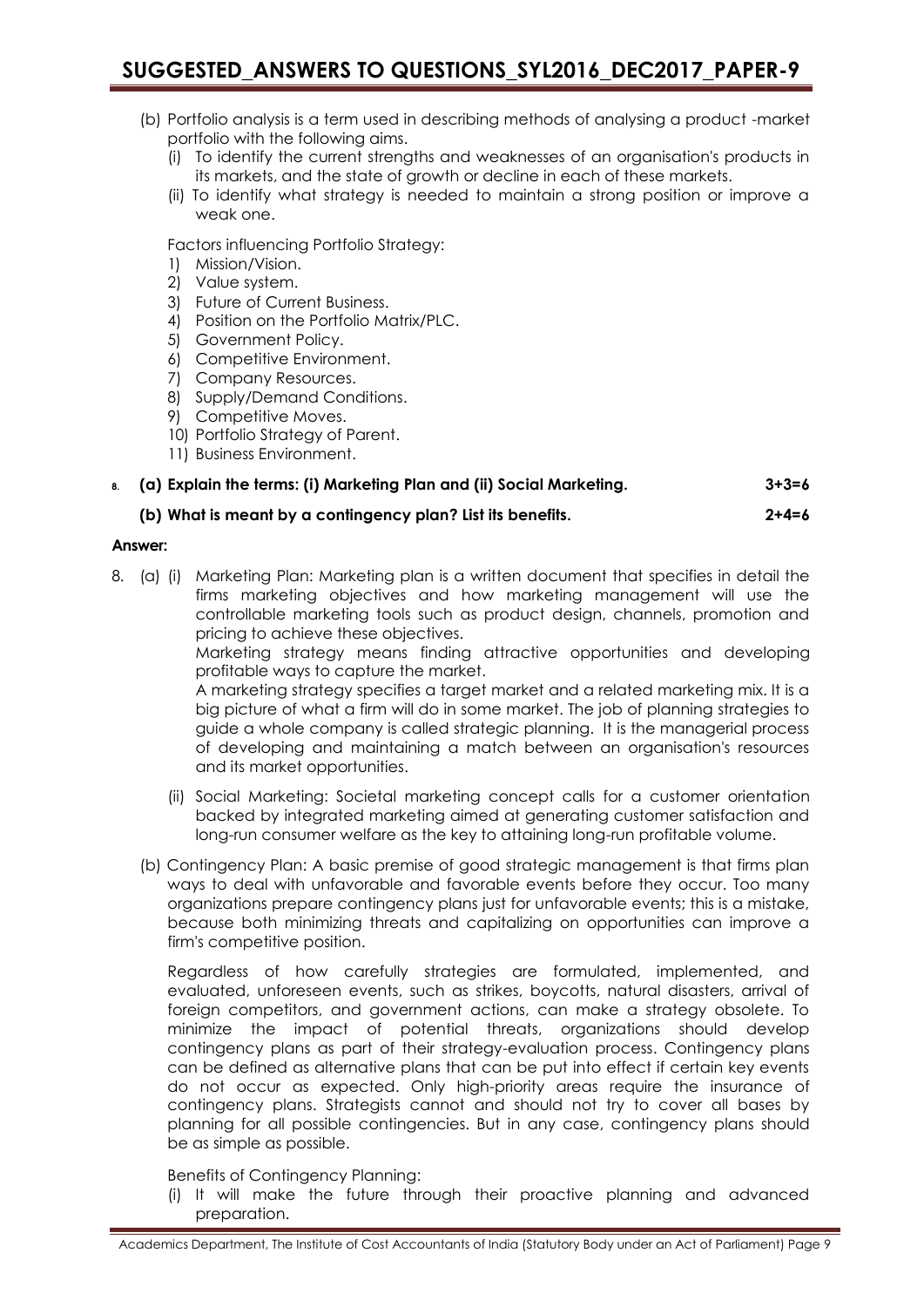- (b) Portfolio analysis is a term used in describing methods of analysing a product -market portfolio with the following aims.
	- (i) To identify the current strengths and weaknesses of an organisation's products in its markets, and the state of growth or decline in each of these markets.
	- (ii) To identify what strategy is needed to maintain a strong position or improve a weak one.

Factors influencing Portfolio Strategy:

- 1) Mission/Vision.
- 2) Value system.
- 3) Future of Current Business.
- 4) Position on the Portfolio Matrix/PLC.
- 5) Government Policy.
- 6) Competitive Environment.
- 7) Company Resources.
- 8) Supply/Demand Conditions.
- 9) Competitive Moves.
- 10) Portfolio Strategy of Parent.
- 11) Business Environment.

### **8. (a) Explain the terms: (i) Marketing Plan and (ii) Social Marketing. 3+3=6**

### **(b) What is meant by a contingency plan? List its benefits. 2+4=6**

#### **Answer:**

8. (a) (i) Marketing Plan: Marketing plan is a written document that specifies in detail the firms marketing objectives and how marketing management will use the controllable marketing tools such as product design, channels, promotion and pricing to achieve these objectives.

Marketing strategy means finding attractive opportunities and developing profitable ways to capture the market.

A marketing strategy specifies a target market and a related marketing mix. It is a big picture of what a firm will do in some market. The job of planning strategies to guide a whole company is called strategic planning. It is the managerial process of developing and maintaining a match between an organisation's resources and its market opportunities.

- (ii) Social Marketing: Societal marketing concept calls for a customer orientation backed by integrated marketing aimed at generating customer satisfaction and long-run consumer welfare as the key to attaining long-run profitable volume.
- (b) Contingency Plan: A basic premise of good strategic management is that firms plan ways to deal with unfavorable and favorable events before they occur. Too many organizations prepare contingency plans just for unfavorable events; this is a mistake, because both minimizing threats and capitalizing on opportunities can improve a firm's competitive position.

Regardless of how carefully strategies are formulated, implemented, and evaluated, unforeseen events, such as strikes, boycotts, natural disasters, arrival of foreign competitors, and government actions, can make a strategy obsolete. To minimize the impact of potential threats, organizations should develop contingency plans as part of their strategy-evaluation process. Contingency plans can be defined as alternative plans that can be put into effect if certain key events do not occur as expected. Only high-priority areas require the insurance of contingency plans. Strategists cannot and should not try to cover all bases by planning for all possible contingencies. But in any case, contingency plans should be as simple as possible.

Benefits of Contingency Planning:

(i) It will make the future through their proactive planning and advanced preparation.